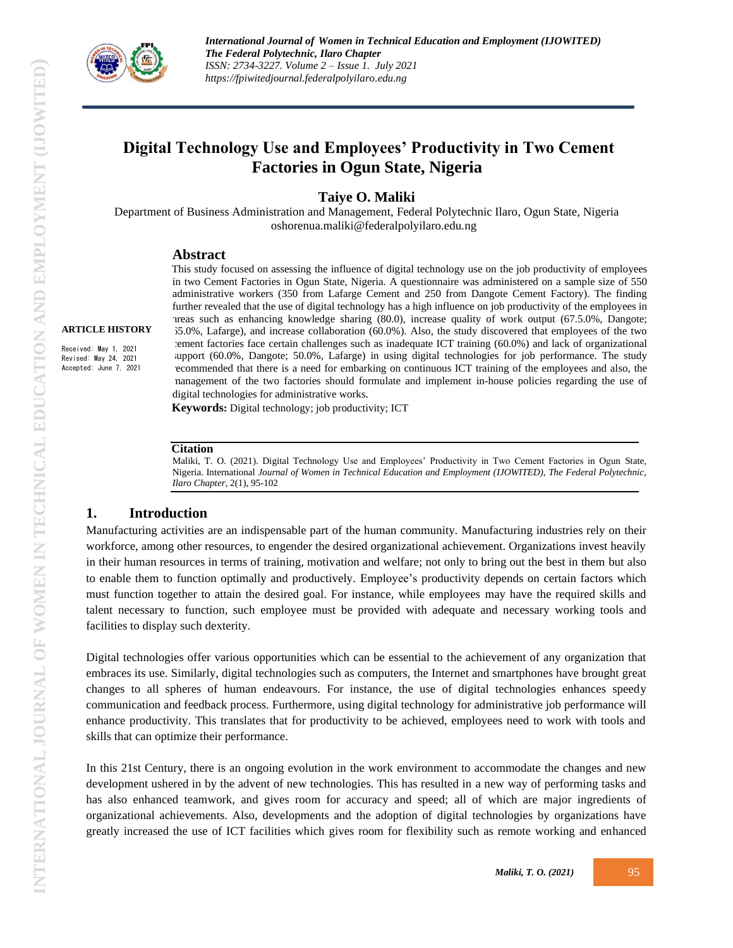

**ARTICLE HISTORY** Received: May 1, 2021 Revised: May 24, 2021 Accepted: June 7, 2021

# **Digital Technology Use and Employees' Productivity in Two Cement Factories in Ogun State, Nigeria**

### **Taiye O. Maliki**

Department of Business Administration and Management, Federal Polytechnic Ilaro, Ogun State, Nigeria oshorenua.maliki@federalpolyilaro.edu.ng

#### **Abstract**

This study focused on assessing the influence of digital technology use on the job productivity of employees in two Cement Factories in Ogun State, Nigeria. A questionnaire was administered on a sample size of 550 administrative workers (350 from Lafarge Cement and 250 from Dangote Cement Factory). The finding further revealed that the use of digital technology has a high influence on job productivity of the employees in areas such as enhancing knowledge sharing (80.0), increase quality of work output (67.5.0%, Dangote; 65.0%, Lafarge), and increase collaboration (60.0%). Also, the study discovered that employees of the two cement factories face certain challenges such as inadequate ICT training (60.0%) and lack of organizational support (60.0%, Dangote; 50.0%, Lafarge) in using digital technologies for job performance. The study recommended that there is a need for embarking on continuous ICT training of the employees and also, the management of the two factories should formulate and implement in-house policies regarding the use of digital technologies for administrative works*.*

**Keywords:** Digital technology; job productivity; ICT

#### **Citation**

Maliki, T. O. (2021). Digital Technology Use and Employees' Productivity in Two Cement Factories in Ogun State, Nigeria. International *Journal of Women in Technical Education and Employment (IJOWITED), The Federal Polytechnic, Ilaro Chapter*, 2(1), 95-102

#### **1. Introduction**

Manufacturing activities are an indispensable part of the human community. Manufacturing industries rely on their workforce, among other resources, to engender the desired organizational achievement. Organizations invest heavily in their human resources in terms of training, motivation and welfare; not only to bring out the best in them but also to enable them to function optimally and productively. Employee's productivity depends on certain factors which must function together to attain the desired goal. For instance, while employees may have the required skills and talent necessary to function, such employee must be provided with adequate and necessary working tools and facilities to display such dexterity.

Digital technologies offer various opportunities which can be essential to the achievement of any organization that embraces its use. Similarly, digital technologies such as computers, the Internet and smartphones have brought great changes to all spheres of human endeavours. For instance, the use of digital technologies enhances speedy communication and feedback process. Furthermore, using digital technology for administrative job performance will enhance productivity. This translates that for productivity to be achieved, employees need to work with tools and skills that can optimize their performance.

In this 21st Century, there is an ongoing evolution in the work environment to accommodate the changes and new development ushered in by the advent of new technologies. This has resulted in a new way of performing tasks and has also enhanced teamwork, and gives room for accuracy and speed; all of which are major ingredients of organizational achievements. Also, developments and the adoption of digital technologies by organizations have greatly increased the use of ICT facilities which gives room for flexibility such as remote working and enhanced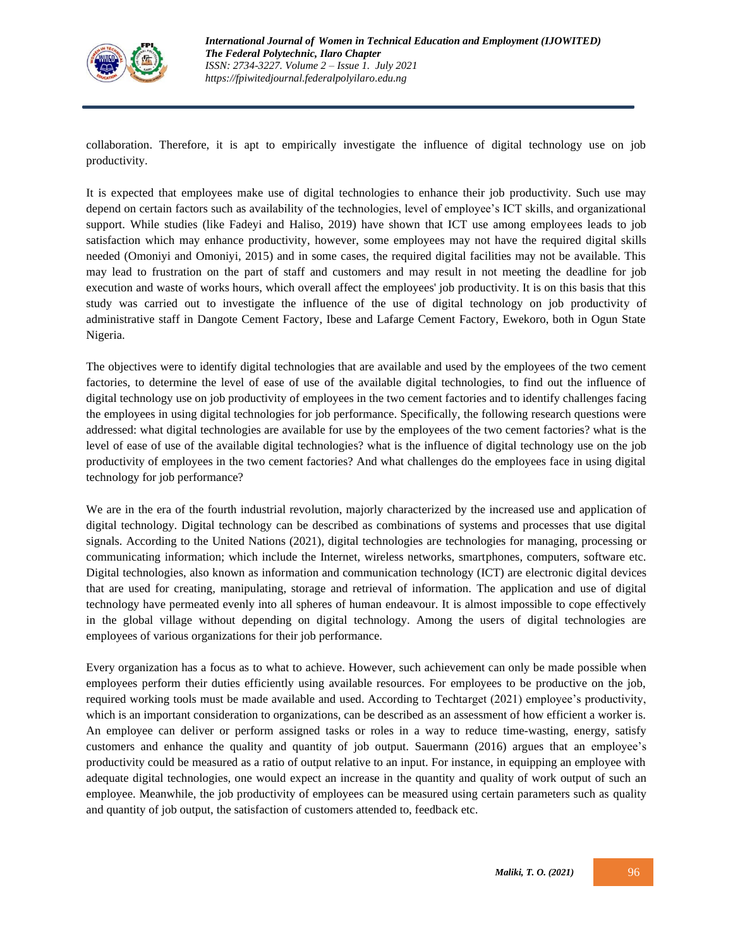

collaboration. Therefore, it is apt to empirically investigate the influence of digital technology use on job productivity.

It is expected that employees make use of digital technologies to enhance their job productivity. Such use may depend on certain factors such as availability of the technologies, level of employee's ICT skills, and organizational support. While studies (like Fadeyi and Haliso, 2019) have shown that ICT use among employees leads to job satisfaction which may enhance productivity, however, some employees may not have the required digital skills needed (Omoniyi and Omoniyi, 2015) and in some cases, the required digital facilities may not be available. This may lead to frustration on the part of staff and customers and may result in not meeting the deadline for job execution and waste of works hours, which overall affect the employees' job productivity. It is on this basis that this study was carried out to investigate the influence of the use of digital technology on job productivity of administrative staff in Dangote Cement Factory, Ibese and Lafarge Cement Factory, Ewekoro, both in Ogun State Nigeria.

The objectives were to identify digital technologies that are available and used by the employees of the two cement factories, to determine the level of ease of use of the available digital technologies, to find out the influence of digital technology use on job productivity of employees in the two cement factories and to identify challenges facing the employees in using digital technologies for job performance. Specifically, the following research questions were addressed: what digital technologies are available for use by the employees of the two cement factories? what is the level of ease of use of the available digital technologies? what is the influence of digital technology use on the job productivity of employees in the two cement factories? And what challenges do the employees face in using digital technology for job performance?

We are in the era of the fourth industrial revolution, majorly characterized by the increased use and application of digital technology. Digital technology can be described as combinations of systems and processes that use digital signals. According to the United Nations (2021), digital technologies are technologies for managing, processing or communicating information; which include the Internet, wireless networks, smartphones, computers, software etc. Digital technologies, also known as information and communication technology (ICT) are electronic digital devices that are used for creating, manipulating, storage and retrieval of information. The application and use of digital technology have permeated evenly into all spheres of human endeavour. It is almost impossible to cope effectively in the global village without depending on digital technology. Among the users of digital technologies are employees of various organizations for their job performance.

Every organization has a focus as to what to achieve. However, such achievement can only be made possible when employees perform their duties efficiently using available resources. For employees to be productive on the job, required working tools must be made available and used. According to Techtarget (2021) employee's productivity, which is an important consideration to organizations, can be described as an assessment of how efficient a worker is. An employee can deliver or perform assigned tasks or roles in a way to reduce time-wasting, energy, satisfy customers and enhance the quality and quantity of job output. Sauermann (2016) argues that an employee's productivity could be measured as a ratio of output relative to an input. For instance, in equipping an employee with adequate digital technologies, one would expect an increase in the quantity and quality of work output of such an employee. Meanwhile, the job productivity of employees can be measured using certain parameters such as quality and quantity of job output, the satisfaction of customers attended to, feedback etc.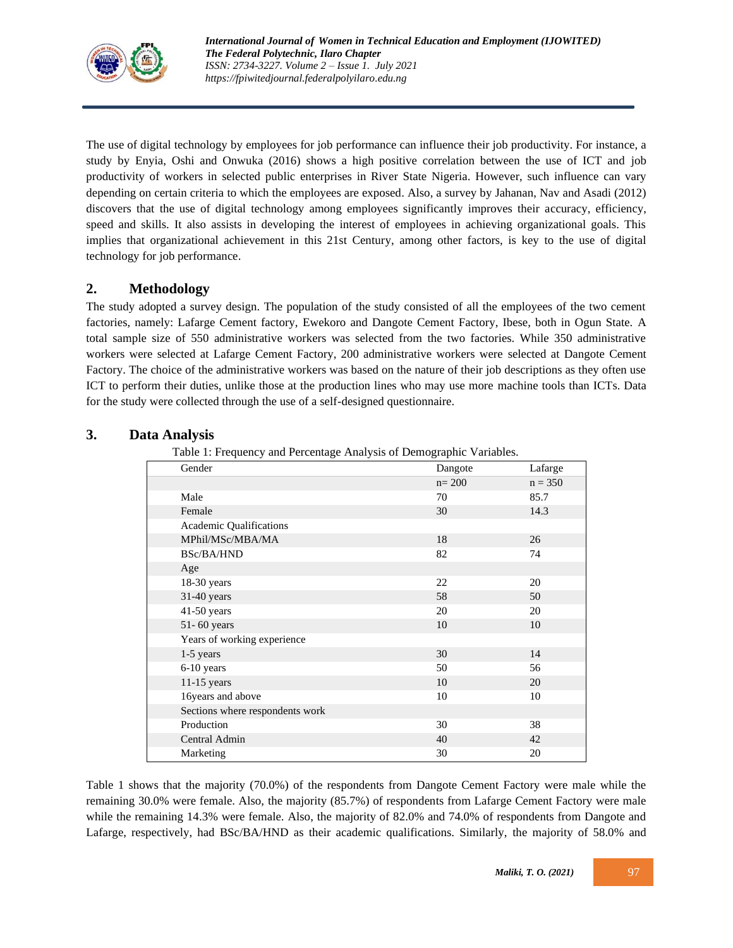

The use of digital technology by employees for job performance can influence their job productivity. For instance, a study by Enyia, Oshi and Onwuka (2016) shows a high positive correlation between the use of ICT and job productivity of workers in selected public enterprises in River State Nigeria. However, such influence can vary depending on certain criteria to which the employees are exposed. Also, a survey by Jahanan, Nav and Asadi (2012) discovers that the use of digital technology among employees significantly improves their accuracy, efficiency, speed and skills. It also assists in developing the interest of employees in achieving organizational goals. This implies that organizational achievement in this 21st Century, among other factors, is key to the use of digital technology for job performance.

# **2. Methodology**

The study adopted a survey design. The population of the study consisted of all the employees of the two cement factories, namely: Lafarge Cement factory, Ewekoro and Dangote Cement Factory, Ibese, both in Ogun State. A total sample size of 550 administrative workers was selected from the two factories. While 350 administrative workers were selected at Lafarge Cement Factory, 200 administrative workers were selected at Dangote Cement Factory. The choice of the administrative workers was based on the nature of their job descriptions as they often use ICT to perform their duties, unlike those at the production lines who may use more machine tools than ICTs. Data for the study were collected through the use of a self-designed questionnaire.

# **3. Data Analysis**

Table 1: Frequency and Percentage Analysis of Demographic Variables.

| ັ                               |           |           |
|---------------------------------|-----------|-----------|
| Gender                          | Dangote   | Lafarge   |
|                                 | $n = 200$ | $n = 350$ |
| Male                            | 70        | 85.7      |
| Female                          | 30        | 14.3      |
| Academic Qualifications         |           |           |
| MPhil/MSc/MBA/MA                | 18        | 26        |
| BSc/BA/HND                      | 82        | 74        |
| Age                             |           |           |
| 18-30 years                     | 22        | 20        |
| 31-40 years                     | 58        | 50        |
| 41-50 years                     | 20        | 20        |
| 51-60 years                     | 10        | 10        |
| Years of working experience     |           |           |
| 1-5 years                       | 30        | 14        |
| 6-10 years                      | 50        | 56        |
| 11-15 years                     | 10        | 20        |
| 16years and above               | 10        | 10        |
| Sections where respondents work |           |           |
| Production                      | 30        | 38        |
| Central Admin                   | 40        | 42        |
| Marketing                       | 30        | 20        |

Table 1 shows that the majority (70.0%) of the respondents from Dangote Cement Factory were male while the remaining 30.0% were female. Also, the majority (85.7%) of respondents from Lafarge Cement Factory were male while the remaining 14.3% were female. Also, the majority of 82.0% and 74.0% of respondents from Dangote and Lafarge, respectively, had BSc/BA/HND as their academic qualifications. Similarly, the majority of 58.0% and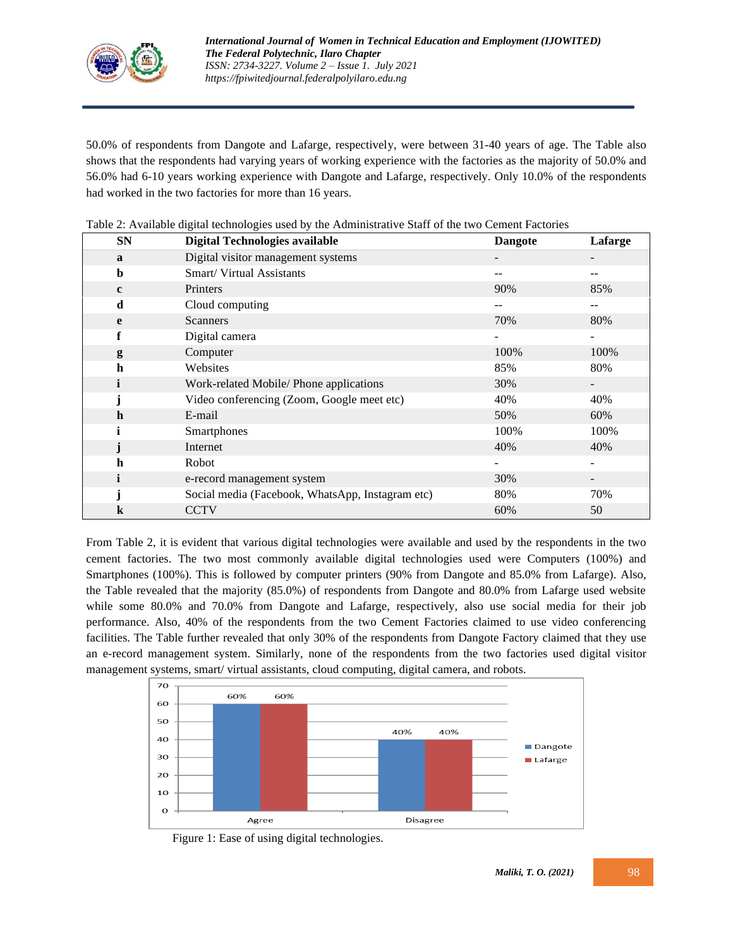

50.0% of respondents from Dangote and Lafarge, respectively, were between 31-40 years of age. The Table also shows that the respondents had varying years of working experience with the factories as the majority of 50.0% and 56.0% had 6-10 years working experience with Dangote and Lafarge, respectively. Only 10.0% of the respondents had worked in the two factories for more than 16 years.

| <b>SN</b>    | <b>Digital Technologies available</b>            | <b>Dangote</b>           | Lafarge |
|--------------|--------------------------------------------------|--------------------------|---------|
| a            | Digital visitor management systems               |                          |         |
| b            | Smart/Virtual Assistants                         | $- -$                    | --      |
| $\mathbf{c}$ | Printers                                         | 90%                      | 85%     |
| d            | Cloud computing                                  | --                       | --      |
| e            | <b>Scanners</b>                                  | 70%                      | 80%     |
| f            | Digital camera                                   |                          |         |
| g            | Computer                                         | 100%                     | 100%    |
| $\mathbf h$  | Websites                                         | 85%                      | 80%     |
| i            | Work-related Mobile/ Phone applications          | 30%                      |         |
|              | Video conferencing (Zoom, Google meet etc)       | 40%                      | 40%     |
| $\mathbf h$  | E-mail                                           | 50%                      | 60%     |
|              | Smartphones                                      | 100%                     | 100%    |
|              | Internet                                         | 40%                      | 40%     |
| $\mathbf h$  | Robot                                            | $\overline{\phantom{a}}$ |         |
| i            | e-record management system                       | 30%                      |         |
|              | Social media (Facebook, WhatsApp, Instagram etc) | 80%                      | 70%     |
| k            | <b>CCTV</b>                                      | 60%                      | 50      |

|  | Table 2: Available digital technologies used by the Administrative Staff of the two Cement Factories |  |
|--|------------------------------------------------------------------------------------------------------|--|
|  |                                                                                                      |  |

From Table 2, it is evident that various digital technologies were available and used by the respondents in the two cement factories. The two most commonly available digital technologies used were Computers (100%) and Smartphones (100%). This is followed by computer printers (90% from Dangote and 85.0% from Lafarge). Also, the Table revealed that the majority (85.0%) of respondents from Dangote and 80.0% from Lafarge used website while some 80.0% and 70.0% from Dangote and Lafarge, respectively, also use social media for their job performance. Also, 40% of the respondents from the two Cement Factories claimed to use video conferencing facilities. The Table further revealed that only 30% of the respondents from Dangote Factory claimed that they use an e-record management system. Similarly, none of the respondents from the two factories used digital visitor management systems, smart/ virtual assistants, cloud computing, digital camera, and robots.



Figure 1: Ease of using digital technologies.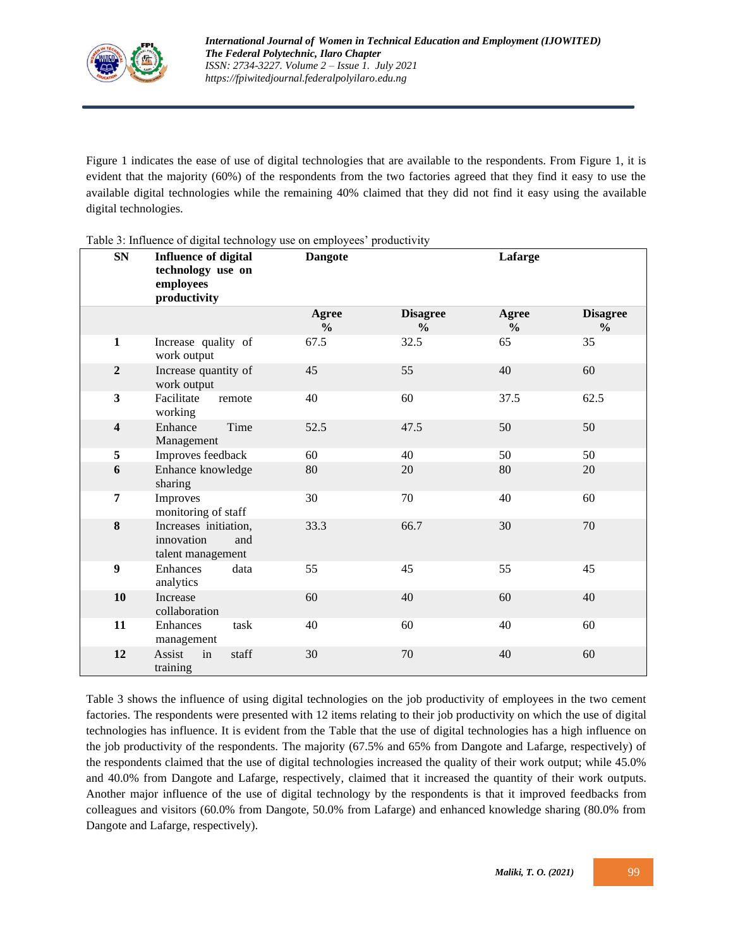

Figure 1 indicates the ease of use of digital technologies that are available to the respondents. From Figure 1, it is evident that the majority (60%) of the respondents from the two factories agreed that they find it easy to use the available digital technologies while the remaining 40% claimed that they did not find it easy using the available digital technologies.

| <b>SN</b>               | raone si illinaenee ol alguar aerillology ase oli employees "prodaeti"ny<br><b>Influence of digital</b> | <b>Dangote</b>                |                                  | Lafarge                |                                  |
|-------------------------|---------------------------------------------------------------------------------------------------------|-------------------------------|----------------------------------|------------------------|----------------------------------|
|                         | technology use on<br>employees<br>productivity                                                          |                               |                                  |                        |                                  |
|                         |                                                                                                         | <b>Agree</b><br>$\frac{0}{0}$ | <b>Disagree</b><br>$\frac{0}{0}$ | Agree<br>$\frac{6}{6}$ | <b>Disagree</b><br>$\frac{0}{0}$ |
| $\mathbf{1}$            | Increase quality of<br>work output                                                                      | 67.5                          | 32.5                             | 65                     | 35                               |
| $\overline{2}$          | Increase quantity of<br>work output                                                                     | 45                            | 55                               | 40                     | 60                               |
| $\overline{\mathbf{3}}$ | Facilitate<br>remote<br>working                                                                         | 40                            | 60                               | 37.5                   | 62.5                             |
| $\overline{\mathbf{4}}$ | Time<br>Enhance<br>Management                                                                           | 52.5                          | 47.5                             | 50                     | 50                               |
| $\sqrt{5}$              | Improves feedback                                                                                       | 60                            | 40                               | 50                     | 50                               |
| 6                       | Enhance knowledge<br>sharing                                                                            | 80                            | 20                               | 80                     | 20                               |
| 7                       | Improves<br>monitoring of staff                                                                         | 30                            | 70                               | 40                     | 60                               |
| 8                       | Increases initiation,<br>innovation<br>and<br>talent management                                         | 33.3                          | 66.7                             | 30                     | 70                               |
| $\boldsymbol{9}$        | Enhances<br>data<br>analytics                                                                           | 55                            | 45                               | 55                     | 45                               |
| 10                      | Increase<br>collaboration                                                                               | 60                            | 40                               | 60                     | 40                               |
| 11                      | Enhances<br>task<br>management                                                                          | 40                            | 60                               | 40                     | 60                               |
| 12                      | Assist<br>in<br>staff<br>training                                                                       | 30                            | 70                               | 40                     | 60                               |

Table 3: Influence of digital technology use on employees' productivity

Table 3 shows the influence of using digital technologies on the job productivity of employees in the two cement factories. The respondents were presented with 12 items relating to their job productivity on which the use of digital technologies has influence. It is evident from the Table that the use of digital technologies has a high influence on the job productivity of the respondents. The majority (67.5% and 65% from Dangote and Lafarge, respectively) of the respondents claimed that the use of digital technologies increased the quality of their work output; while 45.0% and 40.0% from Dangote and Lafarge, respectively, claimed that it increased the quantity of their work outputs. Another major influence of the use of digital technology by the respondents is that it improved feedbacks from colleagues and visitors (60.0% from Dangote, 50.0% from Lafarge) and enhanced knowledge sharing (80.0% from Dangote and Lafarge, respectively).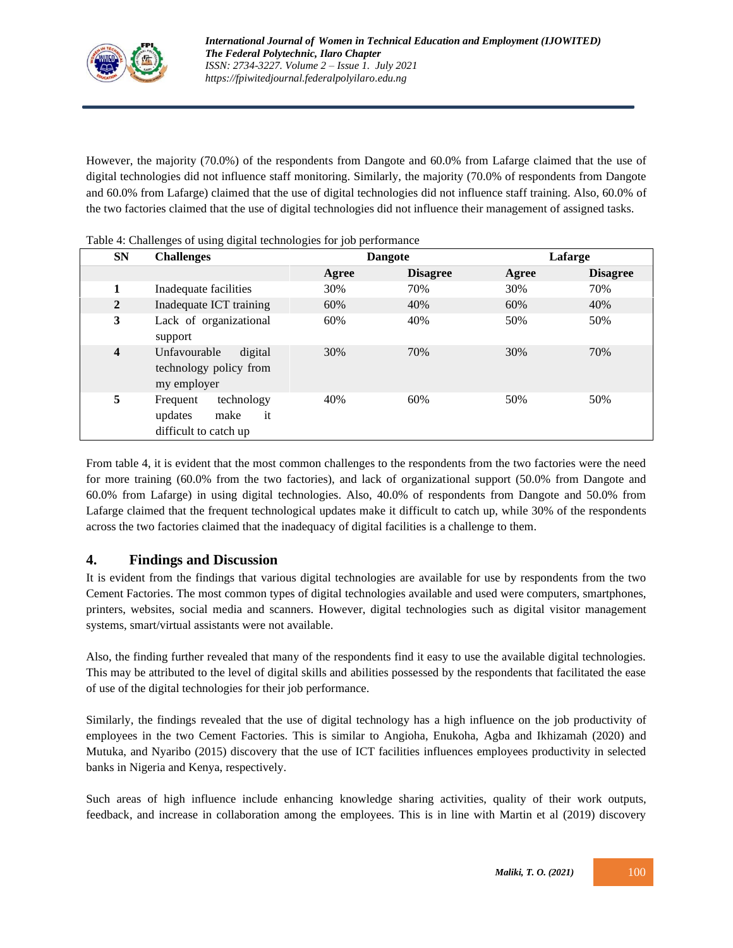

However, the majority (70.0%) of the respondents from Dangote and 60.0% from Lafarge claimed that the use of digital technologies did not influence staff monitoring. Similarly, the majority (70.0% of respondents from Dangote and 60.0% from Lafarge) claimed that the use of digital technologies did not influence staff training. Also, 60.0% of the two factories claimed that the use of digital technologies did not influence their management of assigned tasks.

| $\sim$<br>              |                                                                          |       |                 |       |                 |  |
|-------------------------|--------------------------------------------------------------------------|-------|-----------------|-------|-----------------|--|
| <b>SN</b>               | <b>Challenges</b>                                                        |       | <b>Dangote</b>  |       | Lafarge         |  |
|                         |                                                                          | Agree | <b>Disagree</b> | Agree | <b>Disagree</b> |  |
| 1                       | Inadequate facilities                                                    | 30%   | 70%             | 30%   | 70%             |  |
| $\overline{2}$          | Inadequate ICT training                                                  | 60%   | 40%             | 60%   | 40%             |  |
| 3                       | Lack of organizational<br>support                                        | 60%   | 40%             | 50%   | 50%             |  |
| $\overline{\mathbf{4}}$ | digital<br>Unfavourable<br>technology policy from<br>my employer         | 30%   | 70%             | 30%   | 70%             |  |
| 5                       | technology<br>Frequent<br>it<br>make<br>updates<br>difficult to catch up | 40%   | 60%             | 50%   | 50%             |  |

Table 4: Challenges of using digital technologies for job performance

From table 4, it is evident that the most common challenges to the respondents from the two factories were the need for more training (60.0% from the two factories), and lack of organizational support (50.0% from Dangote and 60.0% from Lafarge) in using digital technologies. Also, 40.0% of respondents from Dangote and 50.0% from Lafarge claimed that the frequent technological updates make it difficult to catch up, while 30% of the respondents across the two factories claimed that the inadequacy of digital facilities is a challenge to them.

# **4. Findings and Discussion**

It is evident from the findings that various digital technologies are available for use by respondents from the two Cement Factories. The most common types of digital technologies available and used were computers, smartphones, printers, websites, social media and scanners. However, digital technologies such as digital visitor management systems, smart/virtual assistants were not available.

Also, the finding further revealed that many of the respondents find it easy to use the available digital technologies. This may be attributed to the level of digital skills and abilities possessed by the respondents that facilitated the ease of use of the digital technologies for their job performance.

Similarly, the findings revealed that the use of digital technology has a high influence on the job productivity of employees in the two Cement Factories. This is similar to Angioha, Enukoha, Agba and Ikhizamah (2020) and Mutuka, and Nyaribo (2015) discovery that the use of ICT facilities influences employees productivity in selected banks in Nigeria and Kenya, respectively.

Such areas of high influence include enhancing knowledge sharing activities, quality of their work outputs, feedback, and increase in collaboration among the employees. This is in line with Martin et al (2019) discovery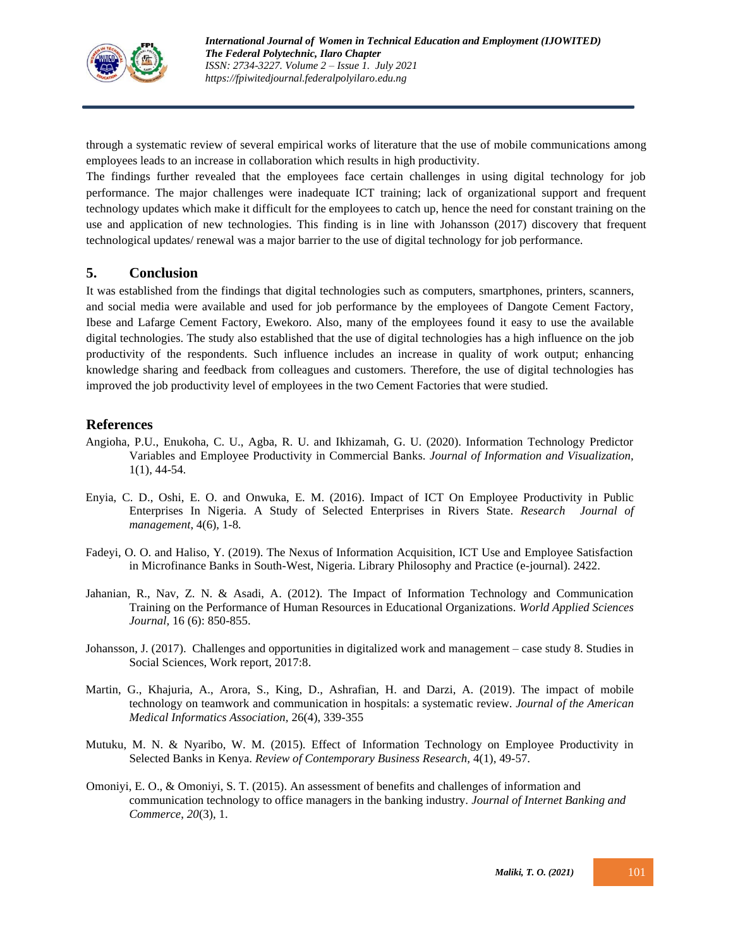

through a systematic review of several empirical works of literature that the use of mobile communications among employees leads to an increase in collaboration which results in high productivity.

The findings further revealed that the employees face certain challenges in using digital technology for job performance. The major challenges were inadequate ICT training; lack of organizational support and frequent technology updates which make it difficult for the employees to catch up, hence the need for constant training on the use and application of new technologies. This finding is in line with Johansson (2017) discovery that frequent technological updates/ renewal was a major barrier to the use of digital technology for job performance.

## **5. Conclusion**

It was established from the findings that digital technologies such as computers, smartphones, printers, scanners, and social media were available and used for job performance by the employees of Dangote Cement Factory, Ibese and Lafarge Cement Factory, Ewekoro. Also, many of the employees found it easy to use the available digital technologies. The study also established that the use of digital technologies has a high influence on the job productivity of the respondents. Such influence includes an increase in quality of work output; enhancing knowledge sharing and feedback from colleagues and customers. Therefore, the use of digital technologies has improved the job productivity level of employees in the two Cement Factories that were studied.

## **References**

- Angioha, P.U., Enukoha, C. U., Agba, R. U. and Ikhizamah, G. U. (2020). Information Technology Predictor Variables and Employee Productivity in Commercial Banks. *Journal of Information and Visualization,*  1(1), 44-54*.*
- Enyia, C. D., Oshi, E. O. and Onwuka, E. M. (2016). Impact of ICT On Employee Productivity in Public Enterprises In Nigeria. A Study of Selected Enterprises in Rivers State. *Research Journal of management*, 4(6), 1-8*.*
- Fadeyi, O. O. and Haliso, Y. (2019). The Nexus of Information Acquisition, ICT Use and Employee Satisfaction in Microfinance Banks in South-West, Nigeria. Library Philosophy and Practice (e-journal). 2422.
- Jahanian, R., Nav, Z. N. & Asadi, A. (2012). The Impact of Information Technology and Communication Training on the Performance of Human Resources in Educational Organizations. *World Applied Sciences Journal,* 16 (6): 850-855.
- Johansson, J. (2017). Challenges and opportunities in digitalized work and management case study 8. Studies in Social Sciences, Work report, 2017:8.
- Martin, G., Khajuria, A., Arora, S., King, D., Ashrafian, H. and Darzi, A. (2019). The impact of mobile technology on teamwork and communication in hospitals: a systematic review. *Journal of the American Medical Informatics Association,* 26(4), 339-355
- Mutuku, M. N. & Nyaribo, W. M. (2015). Effect of Information Technology on Employee Productivity in Selected Banks in Kenya. *Review of Contemporary Business Research,* 4(1), 49-57.
- Omoniyi, E. O., & Omoniyi, S. T. (2015). An assessment of benefits and challenges of information and communication technology to office managers in the banking industry. *Journal of Internet Banking and Commerce*, *20*(3), 1.